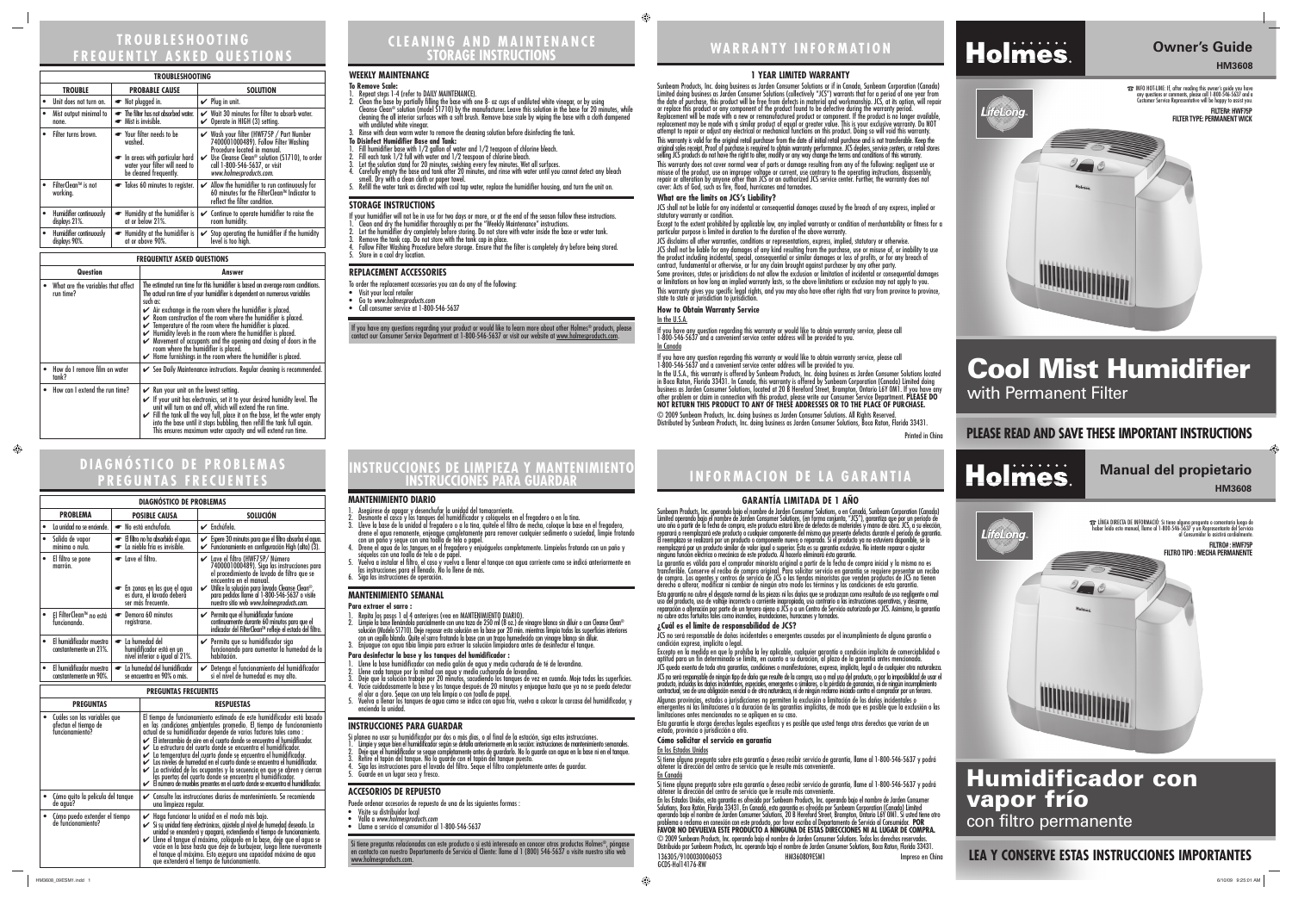# **PLEASE READ AND SAVE THESE IMPORTANT INSTRUCTIONS**

# **WARRANTY INFORMATION**

# **1 YEAR LIMITED WARRANTY**

Sunbeam Products, Inc. doing business as Jarden Consumer Solutions or if in Canada, Sunbeam Corporation (Canada) Limited doing business as Jarden Consumer Solutions (collectively "JCS") warrants that for a period of one year from the date of purchase, this product will be free from defects in material and workmanship. JCS, at its option, will repair or replace this product or any component of the product found to be defective during the warranty period. Replacement will be made with a new or remanufactured product or component. If the product is no longer available, replacement may be made with a similar product of equal or greater value. This is your exclusive warranty. Do NOT attempt to repair or adjust any electrical or mechanical functions on this product. Doing so will void this warranty. This warranty is valid for the original retail purchaser from the date of initial retail purchase and is not transferable. Keep the original sales receipt. Proof of purchase is required to obtain warranty performance. JCS dealers, service centers, or retail stores selling JCS products do not have the right to alter, modify or any way change the terms and conditions of this warranty.

or limitations on how long an implied warranty lasts, so the above limitations or exclusion may not apply to you. This warranty gives you specific legal rights, and you may also have other rights that vary from province to province, state to state or jurisdiction to jurisdiction. **How to Obtain Warranty Service** In the U.S.A.

This warranty does not cover normal wear of parts or damage resulting from any of the following: negligent use or misuse of the product, use on improper voltage or current, use contrary to the operating instructions, disassembly, repair or alteration by anyone other than JCS or an authorized JCS service center. Further, the warranty does not cover: Acts of God, such as fire, flood, hurricanes and tornadoes.

# **What are the limits on JCS's Liability?**

JCS shall not be liable for any incidental or consequential damages caused by the breach of any express, implied or

Except to the extent prohibited by applicable law, any implied warranty or condition of merchantability or fitness for a particular purpose is limited in duration to the duration of the above warranty.

☎ INFO HOT-LINE: If, after reading this owner's guide you have any questions or comments, please call 1-800-546-5637 and a Customer Service Representative will be happy to assist you. **FILTER#: HWF75P FILTER TYPE: PERMANENT WICK** 



- **To Remove Scale:**
- Repeat steps 1-4 (refer to DAILY MAINTENANCE). 2. Clean the base by partially filling the base with one 8- oz cups of undiluted white vinegar, or by using
- Cleanse Clean® solution (model S1710) by the manufacturer. Leave this solution in the base for 20 minutes, while cleaning the all interior surfaces with a soft brush. Remove base scale by wiping the base with a cloth dampened with undiluted white vinegar. 3. Rinse with clean warm water to remove the cleaning solution before disinfecting the tank.
- **To Disinfect Humidifier Base and Tank:**
- 1. Fill humidifier base with 1/2 gallon of water and 1/2 teaspoon of chlorine bleach.
- 2. Fill each tank 1/2 full with water and 1/2 teaspoon of chlorine bleach.
- 
- Let the solution stand for 20 minutes, swishing every few minutes. Wet all surfaces.<br>Carefully empty the base and tank after 20 minutes, and rinse with water until you cannot detect any bleach smell. Dry with a clean cloth or paper towel.<br>Refill the water tank as directed with cool tap water, replace the humidifier housing, and turn the unit on.

JCS disclaims all other warranties, conditions or representations, express, implied, statutory or otherwise. JCS shall not be liable for any damages of any kind resulting from the purchase, use or misuse of, or inability to use the product including incidental, special, consequential or similar damages or loss of profits, or for any breach of

contract, fundamental or otherwise, or for any claim brought against purchaser by any other party. Some provinces, states or jurisdictions do not allow the exclusion or limitation of incidental or consequential damages

If you have any question regarding this warranty or would like to obtain warranty service, please call 1-800-546-5637 and a convenient service center address will be provided to you.

# In Canada

If you have any question regarding this warranty or would like to obtain warranty service, please call 1-800-546-5637 and a convenient service center address will be provided to you.

In the U.S.A., this warranty is offered by Sunbeam Products, Inc. doing business as Jarden Consumer Solutions located in Boca Raton, Florida 33431. In Canada, this warranty is offered by Sunbeam Corporation (Canada) Limited doing business as Jarden Consumer Solutions, located at 20 B Hereford Street, Brampton, Ontario L6Y 0M1. If you have any other problem or claim in connection with this product, please write our Consumer Service Department. **PLEASE DO NOT RETURN THIS PRODUCT TO ANY OF THESE ADDRESSES OR TO THE PLACE OF PURCHASE.** 

© 2009 Sunbeam Products, Inc. doing business as Jarden Consumer Solutions. All Rights Reserved. Distributed by Sunbeam Products, Inc. doing business as Jarden Consumer Solutions, Boca Raton, Florida 33431.

Printed in China

# **INFORMACION DE LA GARANTIA**

# **FREQUENTLY ASKED QUESTIONS**

# **HM3608**

# **Cool Mist Humidifier** with Permanent Filter

### **WEEKLY MAINTENANCE**

# **STORAGE INSTRUCTIONS**

- If your humidifier will not be in use for two days or more, or at the end of the season follow these instructions.
- 1. Clean and dry the humidifier thoroughly as per the "Weekly Maintenance" instructions.
- 2. Let the humidifier dry completely before storing. Do not store with water inside the base or water tank. 3. Remove the tank cap. Do not store with the tank cap in place.
- 4. Follow Filter Washing Procedure before storage. Ensure that the filter is completely dry before being stored.
- 5. Store in a cool dry location.

nas provincias, estados o jurisdicciones no permiten la exclusión o limitación de los daños incidental emergentes ni las limitaciones a la duración de las garantías implícitas, de modo que es posible que la exclusión o las limitaciones antes mencionadas no se apliquen en su caso.

Esta garantía le otorga derechos legales específicos y es posible que usted tenga otros derechos que varían de un estado, provincia o jurisdicción a otro.

## **REPLACEMENT ACCESSORIES**

- To order the replacement accessories you can do any of the following:
- Visit your local retailer
- Go to *www.holmesproducts.com* • Call consumer service at 1-800-546-5637
- 

| <b>TROUBLESHOOTING</b> |                                          |                                                                                                                                 |                                                                                                                                                                                                                                                   |  |  |  |
|------------------------|------------------------------------------|---------------------------------------------------------------------------------------------------------------------------------|---------------------------------------------------------------------------------------------------------------------------------------------------------------------------------------------------------------------------------------------------|--|--|--|
|                        | <b>TROUBLE</b>                           | <b>PROBABLE CAUSE</b>                                                                                                           | <b>SOLUTION</b>                                                                                                                                                                                                                                   |  |  |  |
|                        | Unit does not turn on.                   | • Not plugged in.                                                                                                               | $\vee$ Plug in unit.                                                                                                                                                                                                                              |  |  |  |
| $\bullet$              | Mist output minimal to<br>none.          | The filter has not absorbed water.<br>Mist is invisible.<br>$\bullet$                                                           | $\checkmark$ Wait 30 minutes for filter to absorb water.<br>Operate in HIGH (3) setting.<br>V                                                                                                                                                     |  |  |  |
|                        | Filter turns brown.                      | Your filter needs to be<br>washed.<br>In areas with particular hard<br>water your filter will need to<br>be cleaned frequently. | ✔ Wash your filter (HWF75P / Part Number<br>7400001000489). Follow Filter Washing<br>Procedure located in manual.<br>$\vee$ Use Cleanse Clean <sup>®</sup> solution (S1710), to order<br>call 1-800-546-5637, or visit<br>www.holmesproducts.com. |  |  |  |
|                        | FilterClean™ is not<br>working.          | Takes 60 minutes to register.                                                                                                   | $\mathcal V$ Allow the humidifier to run continuously for<br>60 minutes for the FilterClean™ Indicator to<br>reflect the filter condition.                                                                                                        |  |  |  |
|                        | Humidifier continuously<br>displays 21%. | • Humidity at the humidifier is<br>at or below 21%.                                                                             | $\checkmark$ Continue to operate humidifier to raise the<br>room humidity.                                                                                                                                                                        |  |  |  |
| $\bullet$              | Humidifier continuously<br>displays 90%. | Humidity at the humidifier is<br>$\bullet$<br>at or above 90%.                                                                  | $\checkmark$ Stop operating the humidifier if the humidity<br>level is too high.                                                                                                                                                                  |  |  |  |

### **FREQUENTLY ASKED QUESTIONS**

| Question                                        | Answer                                                                                                                                                                                                                                                                                                                                                                                                                                                                                                                                                                                                                                                                                      |  |  |
|-------------------------------------------------|---------------------------------------------------------------------------------------------------------------------------------------------------------------------------------------------------------------------------------------------------------------------------------------------------------------------------------------------------------------------------------------------------------------------------------------------------------------------------------------------------------------------------------------------------------------------------------------------------------------------------------------------------------------------------------------------|--|--|
| What are the variables that affect<br>run time? | The estimated run time for this humidifier is based on average room conditions.<br>The actual run time of your humidifier is dependent on numerous variables<br>such as:<br>$\swarrow$ Air exchange in the room where the humidifier is placed.<br>$\swarrow$ Room construction of the room where the humidifier is placed.<br>$\checkmark$ Temperature of the room where the humidifier is placed.<br>$\blacktriangleright$ Humidity levels in the room where the humidifier is placed.<br>Movement of occupants and the opening and closing of doors in the<br>room where the humidifier is placed.<br>$\blacktriangleright$ Home furnishings in the room where the humidifier is placed. |  |  |
| How do I remove film on water<br>tank?          | See Daily Maintenance instructions. Regular cleaning is recommended.                                                                                                                                                                                                                                                                                                                                                                                                                                                                                                                                                                                                                        |  |  |
| • How can I extend the run time?                | $\mathcal V$ Run your unit on the lowest setting.<br>If your unit has electronics, set it to your desired humidity level. The<br>unit will turn on and off, which will extend the run time.<br>Fill the tank all the way full, place it on the base, let the water empty<br>into the base until it stops bubbling, then refill the tank full again.<br>This ensures maximum water capacity and will extend run time.                                                                                                                                                                                                                                                                        |  |  |

- 1. Asegúrese de apagar y desenchufar la unidad del tomacorriente.
- 2. Desmonte el casco y los tanques del humidificador y colóquelos en el fregadero o en la tina. 3. Lleve la base de la unidad al fregadero o a la tina, quítele el filtro de mecha, coloque la base en el fregadero,<br>drene el agua remanente, enjeague completamente para remover cualquier sedimento o suciedad, limpie fro
- 
- con un paño y seque con una toalla de tela o papel.<br>4. Drene el agua de los tanques en el fregadero y enjuáguelos completamente. Límpielos frotando con un paño y<br>5. Vuelva a instalar el filtro, el caso y vuelva a llenar el
- 

# **Manual del propietario HM3608**

# **LEA Y CONSERVE ESTAS INSTRUCCIONES IMPORTANTES**

# **Humidificador con vapor frío**  con filtro permanente

# **INSTRUCCIONES DE LIMPIEZA Y MANTENIMIENTO**

# **DIAGNÓSTICO DE PROBLEMAS PREGUNTAS FRECUENTES**

# **GARANTÍA LIMITADA DE 1 AÑO**

 Sunbeam Products, Inc. operando bajo el nombre de Jarden Consumer Solutions, o en Canadá, Sunbeam Corporation (Canada) Limited operando bajo el nombre de Jarden Consumer Solutions, (en forma conjunta, "JCS"), garantiza que por un período de uno año a partir de la fecha de compra, este producto estará libre de defectos de materiales y mano de obra. JCS, a su elección,<br>reparará o reemplazará este producto o cualquier componente del mismo que presente defectos d El reemplazo se realizará por un producto o componente nuevo o reparado. Si el producto ya no estuviera disponible, se lo<br>reemplazará por un producto similar de valor igual o superior. Ésta es su garantía exclusiva. No int ninguna función eléctrica o mecánica de este producto. Al hacerlo elimínará ésta garantía.

- Puede ordenar accesorios de repuesto de una de las siguientes formas :
- Visite su distribuidor local<br>• Valla a www.holmesproducts.com
- Llame a servicio al consumidor al 1-800-546-5637

Si tiene preguntas relacionadas con este producto o si está interesado en conocer otros productos Holmes®, póngase<br>en contacto con nuestro Departamento de Servicio al Cliente: llame al 1 (800) 546-5637 o visite nuestro sit www.holmesproducts.com.

If you have any questions regarding your product or would like to learn more about other Holmes® products, please contact our Consumer Service Department at 1-800-546-5637 or visit our website at <u>www.holmesproducts.com</u>.

statutory warranty or condition

La garantía es válida para el comprador minorista original a partir de la fecha de compra inicial y la misma no es transferible. Conserve el recibo de compra original. Para solicitar servicio en garantía se requiere presentar un recibo de compra. Los agentes y centros de servicio de JCS o las tiendas minoristas que venden productos de JCS no tienen derecho a alterar, modificar ni cambiar de ningún otro modo los términos y las condiciones de esta garantía.

Esta garantía no cubre el desgaste normal de las piezas ni los daños que se produzcan como resultado de uso negligente o mal uso del producto, uso de voltaje incorrecto o corriente inapropiada, uso contrario a las instrucciones operativas, y desarme, reparación o alteración por parte de un tercero ajeno a JCS o a un Centro de Servicio autorizado por JCS. Asimismo, la garantía no cubre actos fortuitos tales como incendios, inundaciones, huracanes y tornados.

# **¿Cuál es el límite de responsabilidad de JCS?**  condición expresa, implícita o legal.

JCS no será responsable de daños incidentales o emergentes causados por el incumplimiento de alguna garantía o

Excepto en la medida en que lo prohíba la ley aplicable, cualquier garantía o condición implícita de comerciabilidad o aptitud para un fin determinado se limita, en cuanto a su duración, al plazo de la garantía antes mencionada.

JCS queda exenta de toda otra garantías, condiciones o manifestaciones, expresa, implícita, legal o de cualquier otra naturaleza. JCS no será responsable de ningún tipo de daño que resulte de la compra, uso o mal uso del producto, o por la imposibilidad de usar el producto, incluidos los daños incidentales, especiales, emergentes o similares, o la pérdida de ganancias, ni de ningún incumplimiento contractual, sea de una obligación esencial o de otra naturaleza, ni de ningún reclamo iniciado contra el comprador por un tercero.

# **Cómo solicitar el servicio en garantía**

**Holmes** 

LifeLong

# En los Estados Unidos

Si tiene alguna pregunta sobre esta garantía o desea recibir servicio de garantía, llame al 1-800-546-5637 y podrá obtener la dirección del centro de servicio que le resulte más conveniente <u>En Canadá</u> Si tiene alguna pregunta sobre esta garantía o desea recibir servicio de garantía, llame al 1-800-546-5637 y podrá obtener la dirección del centro de servicio que le resulte más conveniente. En los Estados Unidos, esta garantía es ofrecida por Sunbeam Products, Inc. operando bajo el nombre de Jarden Consumer



Solutions, Boca Ratón, Florida 33431. En Canadá, esta garantía es ofrecida por Sunbeam Corporation (Canada) Limited operando bajo el nombre de Jarden Consumer Solutions, 20 B Hereford Street, Brampton, Ontario L6Y 0M1. Si usted tiene otro problema o reclamo en conexión con este producto, por favor escriba al Departamento de Servicio al Consumidor. **POR FAVOR NO DEVUELVA ESTE PRODUCTO A NINGUNA DE ESTAS DIRECCIONES NI AL LUGAR DE COMPRA.**  © 2009 Sunbeam Products, Inc. operando bajo el nombre de Jarden Consumer Solutions. Todos los derechos reservados. Distribuido por Sunbeam Products, Inc. operando bajo el nombre de Jarden Consumer Solutions, Boca Raton, Florida 33431. 136305/9100030006053 HM360809ESM1 Impreso en China GCDS-Hol14176-RW

| . REVURIAJ |                                                                         |                                                                                                                                                                                                                                                                                                                                                                                                                                                                                                                                                                                                                                                                                                                                                                             |  |
|------------|-------------------------------------------------------------------------|-----------------------------------------------------------------------------------------------------------------------------------------------------------------------------------------------------------------------------------------------------------------------------------------------------------------------------------------------------------------------------------------------------------------------------------------------------------------------------------------------------------------------------------------------------------------------------------------------------------------------------------------------------------------------------------------------------------------------------------------------------------------------------|--|
|            | Cuáles son las variables que<br>afectan el tiempo de<br>funcionamiento? | El tiempo de funcionamiento estimado de este humidificador está basado<br>en las condiciones ambientales promedio. El tiempo de funcionamiento<br>actual de su humidificador depende de varios factores tales como :<br>$\swarrow$ El intercambio de aire en el cuarto donde se encuentra el humidificador.<br>La estructura del cuarto donde se encuentra el humidificador.<br>$\swarrow$ La temperatura del cuarto donde se encuentra el humidificador.<br>► Los niveles de humedad en el cuarto donde se encuentra el humidificador.<br>$\vee$ La actividad de los ocupantes y la secuencia en que se abren y cierran<br>las puertas del cuarto donde se encuentra el humidificador.<br>El número de muebles presentes en el cuarto donde se encuentra el humidificador. |  |
|            | Cómo quito la película del tanque<br>de agua?                           | ← Consulte las instrucciones diarias de mantenimiento. Se recomienda<br>una limpieza regular.                                                                                                                                                                                                                                                                                                                                                                                                                                                                                                                                                                                                                                                                               |  |
|            | Cómo puedo extender el tiempo<br>de funcionamiento?                     | Haga funcionar la unidad en el modo más bajo.<br>Si su unidad tiene electrónicos, ajústela al nivel de humedad deseado. La<br>unidad se encenderá y apagará, extendiendo el tiempo de funcionamiento.<br>► Llene el tangue al máximo, colóquelo en la base, deje que el agua se<br>vacíe en la base hasta que deje de burbujear, luego llene nuevamente<br>el tanque al máximo. Esto asegura una capacidad máxima de agua<br>que extenderá el tiempo de funcionamiento.                                                                                                                                                                                                                                                                                                     |  |

# **CLEANING AND MAINTENANCE Owner's Guide TROUBLESHOOTING STORAGE INSTRUCTIONS**

| <b>DIAGNÓSTICO DE PROBLEMAS</b>                    |                                                                                                   |                                                                                                                                                                                                                                                                                                                       |  |  |  |  |
|----------------------------------------------------|---------------------------------------------------------------------------------------------------|-----------------------------------------------------------------------------------------------------------------------------------------------------------------------------------------------------------------------------------------------------------------------------------------------------------------------|--|--|--|--|
| <b>PROBLEMA</b>                                    | <b>POSIBLE CAUSA</b>                                                                              | <b>SOLUCIÓN</b>                                                                                                                                                                                                                                                                                                       |  |  |  |  |
| La unidad no se enciende.                          | No está enchufada.                                                                                | $\mathcal V$ Enchúfela.                                                                                                                                                                                                                                                                                               |  |  |  |  |
| Salida de vapor<br>mínima o nula.                  | El filtro no ha absorbido el agua.<br>• La niebla fría es invisible.                              | $\checkmark$ Espere 30 minutos para que el filtro absorba el agua.<br>$\checkmark$ Funcionamiento en configuración High (alta) (3).                                                                                                                                                                                   |  |  |  |  |
| El filtro se pone<br>$\bullet$<br>marrón.          | Lave el filtro.<br>la porta de las que el agua<br>es dura, el lavado deberá<br>ser más frecuente. | <b>∠</b> Lave el filtro (HWF75P/Número<br>7400001000489). Siga las instrucciones para<br>el procedimiento de lavado de filtro que se<br>encuentra en el manual.<br>Utilice la solución para lavado Cleanse Clean®,<br>para pedidos llame al 1-800-546-5637 o visite<br>nuestro sitio web www.holmesproducts.com.<br>V |  |  |  |  |
| El FilterClean™ no está<br>funcionando.            | Demora 60 minutos<br>$\bullet$<br>registrarse.                                                    | $\blacktriangleright$ Permita que el humidificador funcione<br>continuamente durante 60 minutos para que el<br>indicador del FilterClean™ refleje el estado del filtro.                                                                                                                                               |  |  |  |  |
| El humidificador muestra<br>constantemente un 21%. | La humedad del<br>$\bullet$<br>humidificador está en un<br>nivel inferior o igual al 21%.         | $\mathcal V$ Permita que su humidificador siga<br>funcionando para aumentar la humedad de la<br>habitación.                                                                                                                                                                                                           |  |  |  |  |
| El humidificador muestra<br>constantemente un 90%. | La humedad del humidificador<br>se encuentra en 90% o más.                                        | Detenga el funcionamiento del humidificador<br>si el nivel de humedad es muy alto.<br>V                                                                                                                                                                                                                               |  |  |  |  |
| <b>PREGUNTAS FRECUENTES</b>                        |                                                                                                   |                                                                                                                                                                                                                                                                                                                       |  |  |  |  |
| <b>PREGUNTAS</b>                                   |                                                                                                   | <b>RESPUESTAS</b>                                                                                                                                                                                                                                                                                                     |  |  |  |  |

### **MANTENIMIENTO DIARIO**

# **MANTENIMIENTO SEMANAL**

## **Para extraer el sarro :**

Repita los pasos 1 al 4 anteriores (vea en MANTENIMIENTO DIARIO) 2. Limpie la base llenándola parcialmente con una taza de 250 ml (8 oz.) de vinagre blanco sin diluir o con Cleanse Clean® solución (Modelo S1710). Deje reposar esta solución en la base por 20 min. mientras limpia todas las superficies interiores<br>con un cepillo blando. Quite el sarro frotando la base con un trapo humedecido con vinagre blanco

**Para desinfectar la base y los tanques del humidificador :** 

- Llene la base humidificador con medio galón de agua y media cucharada de té de lavandina.
- 2. Llene cada tanque por la mitad con agua y media cucharada de lavandina.
- 3. Deje que la solución trabaje por 20 minutos, sacudiendo los tanques de vez en cuando. Moje todas las superficies.
- 4. Vacíe cuidadosamente la base y los tanque después de 20 minutos y enjuague hasta que ya no se pueda detectar<br>el olor a cloro. Seque con una tela limpia o con toalla de papel.<br>5. Vuelva a llenar los tanques de agua com
- 

# **INSTRUCCIONES PARA GUARDAR**

- Si planea no usar su humidificador por dos o más días, o al final de la estación, siga estas instrucciones.
- Limpie y seque bien el humidificador según se detalla anteriormente en la sección: instrucciones de mantenimiento semanales.
- 2. Deje que el humidificador se seque completamente antes de guardarlo. No lo guarde con agua en la base ni en el tanque. 3. Retire el tapón del tanque. No lo guarde con el tapón del tanque puesto. 4. Siga las instrucciones para el lavado del filtro. Seque el filtro completamente antes de guardar.
- 5. Guarde en un lugar seco y fresco.

## **ACCESORIOS DE REPUESTO**